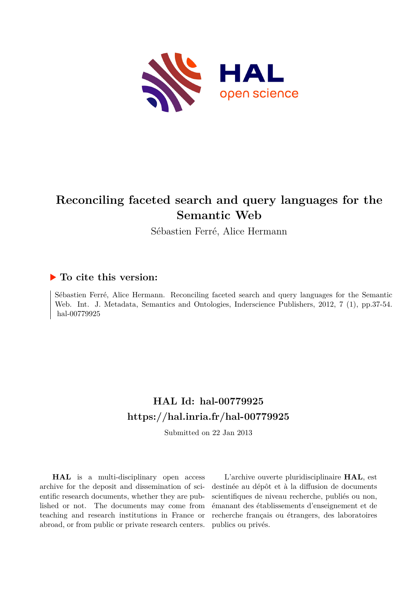

# **Reconciling faceted search and query languages for the Semantic Web**

Sébastien Ferré, Alice Hermann

# **To cite this version:**

Sébastien Ferré, Alice Hermann. Reconciling faceted search and query languages for the Semantic Web. Int. J. Metadata, Semantics and Ontologies, Inderscience Publishers, 2012, 7 (1), pp.37-54. hal-00779925

# **HAL Id: hal-00779925 <https://hal.inria.fr/hal-00779925>**

Submitted on 22 Jan 2013

**HAL** is a multi-disciplinary open access archive for the deposit and dissemination of scientific research documents, whether they are published or not. The documents may come from teaching and research institutions in France or abroad, or from public or private research centers.

L'archive ouverte pluridisciplinaire **HAL**, est destinée au dépôt et à la diffusion de documents scientifiques de niveau recherche, publiés ou non, émanant des établissements d'enseignement et de recherche français ou étrangers, des laboratoires publics ou privés.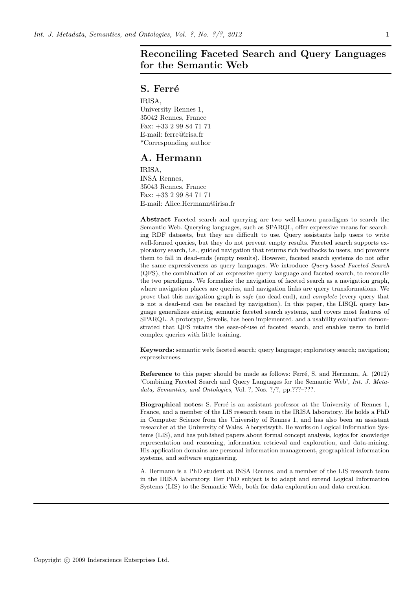# Reconciling Faceted Search and Query Languages for the Semantic Web

## S. Ferré

IRISA, University Rennes 1, 35042 Rennes, France Fax: +33 2 99 84 71 71 E-mail: ferre@irisa.fr \*Corresponding author

# A. Hermann

IRISA, INSA Rennes, 35043 Rennes, France Fax: +33 2 99 84 71 71 E-mail: Alice.Hermann@irisa.fr

Abstract Faceted search and querying are two well-known paradigms to search the Semantic Web. Querying languages, such as SPARQL, offer expressive means for searching RDF datasets, but they are difficult to use. Query assistants help users to write well-formed queries, but they do not prevent empty results. Faceted search supports exploratory search, i.e., guided navigation that returns rich feedbacks to users, and prevents them to fall in dead-ends (empty results). However, faceted search systems do not offer the same expressiveness as query languages. We introduce *Query-based Faceted Search* (QFS), the combination of an expressive query language and faceted search, to reconcile the two paradigms. We formalize the navigation of faceted search as a navigation graph, where navigation places are queries, and navigation links are query transformations. We prove that this navigation graph is *safe* (no dead-end), and *complete* (every query that is not a dead-end can be reached by navigation). In this paper, the LISQL query language generalizes existing semantic faceted search systems, and covers most features of SPARQL. A prototype, Sewelis, has been implemented, and a usability evaluation demonstrated that QFS retains the ease-of-use of faceted search, and enables users to build complex queries with little training.

Keywords: semantic web; faceted search; query language; exploratory search; navigation; expressiveness.

Reference to this paper should be made as follows: Ferré, S. and Hermann, A. (2012) 'Combining Faceted Search and Query Languages for the Semantic Web', *Int. J. Metadata, Semantics, and Ontologies*, Vol. ?, Nos. ?/?, pp.???–???.

Biographical notes: S. Ferré is an assistant professor at the University of Rennes 1, France, and a member of the LIS research team in the IRISA laboratory. He holds a PhD in Computer Science from the University of Rennes 1, and has also been an assistant researcher at the University of Wales, Aberystwyth. He works on Logical Information Systems (LIS), and has published papers about formal concept analysis, logics for knowledge representation and reasoning, information retrieval and exploration, and data-mining. His application domains are personal information management, geographical information systems, and software engineering.

A. Hermann is a PhD student at INSA Rennes, and a member of the LIS research team in the IRISA laboratory. Her PhD subject is to adapt and extend Logical Information Systems (LIS) to the Semantic Web, both for data exploration and data creation.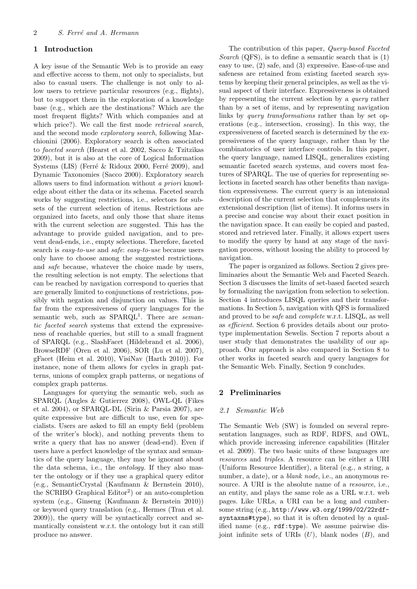### 1 Introduction

A key issue of the Semantic Web is to provide an easy and effective access to them, not only to specialists, but also to casual users. The challenge is not only to allow users to retrieve particular resources (e.g., flights), but to support them in the exploration of a knowledge base (e.g., which are the destinations? Which are the most frequent flights? With which companies and at which price?). We call the first mode *retrieval search*, and the second mode exploratory search, following Marchionini (2006). Exploratory search is often associated to faceted search (Hearst et al. 2002, Sacco & Tzitzikas 2009), but it is also at the core of Logical Information Systems (LIS) (Ferré & Ridoux 2000, Ferré 2009), and Dynamic Taxonomies (Sacco 2000). Exploratory search allows users to find information without a priori knowledge about either the data or its schema. Faceted search works by suggesting restrictions, i.e., selectors for subsets of the current selection of items. Restrictions are organized into facets, and only those that share items with the current selection are suggested. This has the advantage to provide guided navigation, and to prevent dead-ends, i.e., empty selections. Therefore, faceted search is *easy-to-use* and *safe*: *easy-to-use* because users only have to choose among the suggested restrictions, and safe because, whatever the choice made by users, the resulting selection is not empty. The selections that can be reached by navigation correspond to queries that are generally limited to conjunctions of restrictions, possibly with negation and disjunction on values. This is far from the expressiveness of query languages for the semantic web, such as SPARQL<sup>1</sup>. There are semantic faceted search systems that extend the expressiveness of reachable queries, but still to a small fragment of SPARQL (e.g., SlashFacet (Hildebrand et al. 2006), BrowseRDF (Oren et al. 2006), SOR (Lu et al. 2007), gFacet (Heim et al. 2010), VisiNav (Harth 2010)). For instance, none of them allows for cycles in graph patterns, unions of complex graph patterns, or negations of complex graph patterns.

Languages for querying the semantic web, such as SPARQL (Angles & Gutierrez 2008), OWL-QL (Fikes et al. 2004), or SPARQL-DL (Sirin & Parsia 2007), are quite expressive but are difficult to use, even for specialists. Users are asked to fill an empty field (problem of the writer's block), and nothing prevents them to write a query that has no answer (dead-end). Even if users have a perfect knowledge of the syntax and semantics of the query language, they may be ignorant about the data schema, i.e., the ontology. If they also master the ontology or if they use a graphical query editor (e.g., SemanticCrystal (Kaufmann & Bernstein 2010), the SCRIBO Graphical Editor<sup>2</sup>) or an auto-completion system (e.g., Ginseng (Kaufmann & Bernstein 2010)) or keyword query translation (e.g., Hermes (Tran et al. 2009)), the query will be syntactically correct and semantically consistent w.r.t. the ontology but it can still produce no answer.

The contribution of this paper, Query-based Faceted Search (QFS), is to define a semantic search that is  $(1)$ easy to use, (2) safe, and (3) expressive. Ease-of-use and safeness are retained from existing faceted search systems by keeping their general principles, as well as the visual aspect of their interface. Expressiveness is obtained by representing the current selection by a query rather than by a set of items, and by representing navigation links by query transformations rather than by set operations (e.g., intersection, crossing). In this way, the expressiveness of faceted search is determined by the expressiveness of the query language, rather than by the combinatorics of user interface controls. In this paper, the query language, named LISQL, generalizes existing semantic faceted search systems, and covers most features of SPARQL. The use of queries for representing selections in faceted search has other benefits than navigation expressiveness. The current query is an intensional description of the current selection that complements its extensional description (list of items). It informs users in a precise and concise way about their exact position in the navigation space. It can easily be copied and pasted, stored and retrieved later. Finally, it allows expert users to modify the query by hand at any stage of the navigation process, without loosing the ability to proceed by navigation.

The paper is organized as follows. Section 2 gives preliminaries about the Semantic Web and Faceted Search. Section 3 discusses the limits of set-based faceted search by formalizing the navigation from selection to selection. Section 4 introduces LISQL queries and their transformations. In Section 5, navigation with QFS is formalized and proved to be safe and complete w.r.t. LISQL, as well as efficient. Section 6 provides details about our prototype implementation Sewelis. Section 7 reports about a user study that demonstrates the usability of our approach. Our approach is also compared in Section 8 to other works in faceted search and query languages for the Semantic Web. Finally, Section 9 concludes.

#### 2 Preliminaries

#### 2.1 Semantic Web

The Semantic Web (SW) is founded on several representation languages, such as RDF, RDFS, and OWL, which provide increasing inference capabilities (Hitzler et al. 2009). The two basic units of these languages are resources and triples. A resource can be either a URI (Uniform Resource Identifier), a literal (e.g., a string, a number, a date), or a *blank node*, i.e., an anonymous resource. A URI is the absolute name of a *resource*, i.e., an entity, and plays the same role as a URL w.r.t. web pages. Like URLs, a URI can be a long and cumbersome string (e.g., http://www.w3.org/1999/02/22rdfsyntaxns#type), so that it is often denoted by a qualified name (e.g., rdf:type). We assume pairwise disjoint infinite sets of URIs  $(U)$ , blank nodes  $(B)$ , and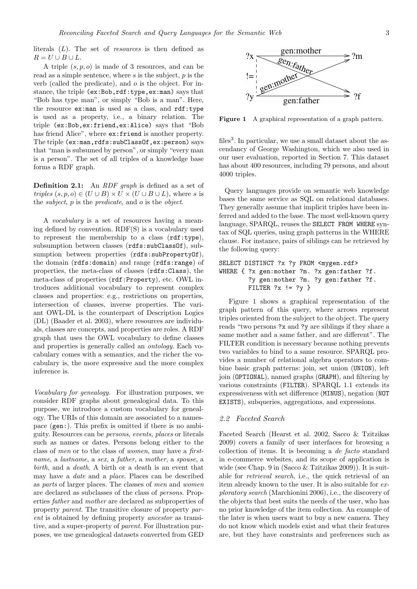literals  $(L)$ . The set of *resources* is then defined as  $R = U \cup B \cup L.$ 

A triple  $(s, p, o)$  is made of 3 resources, and can be read as a simple sentence, where  $s$  is the subject,  $p$  is the verb (called the predicate), and  $\sigma$  is the object. For instance, the triple (ex:Bob,rdf:type,ex:man) says that "Bob has type man", or simply "Bob is a man". Here, the resource ex:man is used as a class, and rdf:type is used as a property, i.e., a binary relation. The triple (ex:Bob,ex:friend,ex:Alice) says that "Bob has friend Alice", where ex:friend is another property. The triple (ex:man,rdfs:subClassOf,ex:person) says that "man is subsumed by person", or simply "every man is a person". The set of all triples of a knowledge base forms a RDF graph.

Definition 2.1: An RDF graph is defined as a set of triples  $(s, p, o) \in (U \cup B) \times U \times (U \cup B \cup L)$ , where s is the subject, p is the predicate, and o is the object.

A vocabulary is a set of resources having a meaning defined by convention. RDF(S) is a vocabulary used to represent the membership to a class (rdf:type), subsumption between classes (rdfs:subClassOf), subsumption between properties (rdfs:subPropertyOf), the domain (rdfs:domain) and range (rdfs:range) of properties, the meta-class of classes (rdfs:Class), the meta-class of properties (rdf:Property), etc. OWL introduces additional vocabulary to represent complex classes and properties: e.g., restrictions on properties, intersection of classes, inverse properties. The variant OWL-DL is the counterpart of Description Logics (DL) (Baader et al. 2003), where resources are individuals, classes are concepts, and properties are roles. A RDF graph that uses the OWL vocabulary to define classes and properties is generally called an ontology. Each vocabulary comes with a semantics, and the richer the vocabulary is, the more expressive and the more complex inference is.

Vocabulary for genealogy. For illustration purposes, we consider RDF graphs about genealogical data. To this purpose, we introduce a custom vocabulary for genealogy. The URIs of this domain are associated to a namespace (gen:). This prefix is omitted if there is no ambiguity. Resources can be persons, events, places or literals such as names or dates. Persons belong either to the class of men or to the class of women, may have a firstname, a lastname, a sex, a father, a mother, a spouse, a birth, and a death. A birth or a death is an event that may have a date and a place. Places can be described as parts of larger places. The classes of men and women are declared as subclasses of the class of persons. Properties father and mother are declared as subproperties of property parent. The transitive closure of property parent is obtained by defining property ancestor as transitive, and a super-property of parent. For illustration purposes, we use genealogical datasets converted from GED



Figure 1 A graphical representation of a graph pattern.

files<sup>3</sup>. In particular, we use a small dataset about the ascendancy of George Washington, which we also used in our user evaluation, reported in Section 7. This dataset has about 400 resources, including 79 persons, and about 4000 triples.

Query languages provide on semantic web knowledge bases the same service as SQL on relational databases. They generally assume that implicit triples have been inferred and added to the base. The most well-known query language, SPARQL, reuses the SELECT FROM WHERE syntax of SQL queries, using graph patterns in the WHERE clause. For instance, pairs of siblings can be retrieved by the following query:

```
SELECT DISTINCT ?x ?y FROM <mygen.rdf>
WHERE { ?x gen:mother ?m. ?x gen:father ?f.
        ?y gen:mother ?m. ?y gen:father ?f.
        FILTER ?x := ?y }
```
Figure 1 shows a graphical representation of the graph pattern of this query, where arrows represent triples oriented from the subject to the object. The query reads "two persons ?x and ?y are siblings if they share a same mother and a same father, and are different". The FILTER condition is necessary because nothing prevents two variables to bind to a same resource. SPARQL provides a number of relational algebra operators to combine basic graph patterns: join, set union (UNION), left join (OPTIONAL), named graphs (GRAPH), and filtering by various constraints (FILTER). SPARQL 1.1 extends its expressiveness with set difference (MINUS), negation (NOT EXISTS), subqueries, aggregations, and expressions.

#### 2.2 Faceted Search

Faceted Search (Hearst et al. 2002, Sacco & Tzitzikas 2009) covers a family of user interfaces for browsing a collection of items. It is becoming a de facto standard in e-commerce websites, and its scope of application is wide (see Chap. 9 in (Sacco & Tzitzikas 2009)). It is suitable for retrieval search, i.e., the quick retrieval of an item already known to the user. It is also suitable for exploratory search (Marchionini 2006), i.e., the discovery of the objects that best suits the needs of the user, who has no prior knowledge of the item collection. An example of the later is when users want to buy a new camera. They do not know which models exist and what their features are, but they have constraints and preferences such as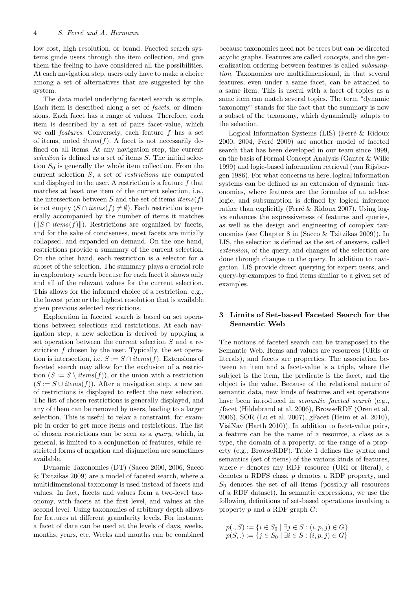low cost, high resolution, or brand. Faceted search systems guide users through the item collection, and give them the feeling to have considered all the possibilities. At each navigation step, users only have to make a choice among a set of alternatives that are suggested by the system.

The data model underlying faceted search is simple. Each item is described along a set of *facets*, or dimensions. Each facet has a range of values. Therefore, each item is described by a set of pairs facet-value, which we call *features*. Conversely, each feature  $f$  has a set of items, noted  $items(f)$ . A facet is not necessarily defined on all items. At any navigation step, the current selection is defined as a set of items S. The initial selection  $S_0$  is generally the whole item collection. From the current selection S, a set of restrictions are computed and displayed to the user. A restriction is a feature f that matches at least one item of the current selection, i.e., the intersection between S and the set of items  $items(f)$ is not empty  $(S \cap items(f) \neq \emptyset)$ . Each restriction is generally accompanied by the number of items it matches  $(\|S \cap items(f)\|)$ . Restrictions are organized by facets, and for the sake of conciseness, most facets are initially collapsed, and expanded on demand. On the one hand, restrictions provide a summary of the current selection. On the other hand, each restriction is a selector for a subset of the selection. The summary plays a crucial role in exploratory search because for each facet it shows only and all of the relevant values for the current selection. This allows for the informed choice of a restriction: e.g., the lowest price or the highest resolution that is available given previous selected restrictions.

Exploration in faceted search is based on set operations between selections and restrictions. At each navigation step, a new selection is derived by applying a set operation between the current selection S and a restriction  $f$  chosen by the user. Typically, the set operation is intersection, i.e.  $S := S \cap items(f)$ . Extensions of faceted search may allow for the exclusion of a restriction  $(S := S \setminus items(f))$ , or the union with a restriction  $(S := S \cup items(f))$ . After a navigation step, a new set of restrictions is displayed to reflect the new selection. The list of chosen restrictions is generally displayed, and any of them can be removed by users, leading to a larger selection. This is useful to relax a constraint, for example in order to get more items and restrictions. The list of chosen restrictions can be seen as a query, which, in general, is limited to a conjunction of features, while restricted forms of negation and disjunction are sometimes available.

Dynamic Taxonomies (DT) (Sacco 2000, 2006, Sacco & Tzitzikas 2009) are a model of faceted search, where a multidimensional taxonomy is used instead of facets and values. In fact, facets and values form a two-level taxonomy, with facets at the first level, and values at the second level. Using taxonomies of arbitrary depth allows for features at different granularity levels. For instance, a facet of date can be used at the levels of days, weeks, months, years, etc. Weeks and months can be combined

because taxonomies need not be trees but can be directed acyclic graphs. Features are called concepts, and the generalization ordering between features is called subsumption. Taxonomies are multidimensional, in that several features, even under a same facet, can be attached to a same item. This is useful with a facet of topics as a same item can match several topics. The term "dynamic taxonomy" stands for the fact that the summary is now a subset of the taxonomy, which dynamically adapts to the selection.

Logical Information Systems (LIS) (Ferré  $\&$  Ridoux  $2000, 2004,$  Ferré  $2009)$  are another model of faceted search that has been developed in our team since 1999, on the basis of Formal Concept Analysis (Ganter & Wille 1999) and logic-based information retrieval (van Rijsbergen 1986). For what concerns us here, logical information systems can be defined as an extension of dynamic taxonomies, where features are the formulas of an ad-hoc logic, and subsumption is defined by logical inference rather than explicitly (Ferré & Ridoux 2007). Using logics enhances the expressiveness of features and queries, as well as the design and engineering of complex taxonomies (see Chapter 8 in (Sacco & Tzitzikas 2009)). In LIS, the selection is defined as the set of answers, called extension, of the query, and changes of the selection are done through changes to the query. In addition to navigation, LIS provide direct querying for expert users, and query-by-examples to find items similar to a given set of examples.

## 3 Limits of Set-based Faceted Search for the Semantic Web

The notions of faceted search can be transposed to the Semantic Web. Items and values are resources (URIs or literals), and facets are properties. The association between an item and a facet-value is a triple, where the subject is the item, the predicate is the facet, and the object is the value. Because of the relational nature of semantic data, new kinds of features and set operations have been introduced in *semantic faceted search* (e.g., /facet (Hildebrand et al. 2006), BrowseRDF (Oren et al. 2006), SOR (Lu et al. 2007), gFacet (Heim et al. 2010), VisiNav (Harth 2010)). In addition to facet-value pairs, a feature can be the name of a resource, a class as a type, the domain of a property, or the range of a property (e.g., BrowseRDF). Table 1 defines the syntax and semantics (set of items) of the various kinds of features, where  $r$  denotes any RDF resource (URI or literal),  $c$ denotes a RDFS class, p denotes a RDF property, and  $S_0$  denotes the set of all items (possibly all resources of a RDF dataset). In semantic expressions, we use the following definitions of set-based operations involving a property  $p$  and a RDF graph  $G$ :

$$
p(., S) := \{ i \in S_0 \mid \exists j \in S : (i, p, j) \in G \}
$$
  

$$
p(S, .) := \{ j \in S_0 \mid \exists i \in S : (i, p, j) \in G \}
$$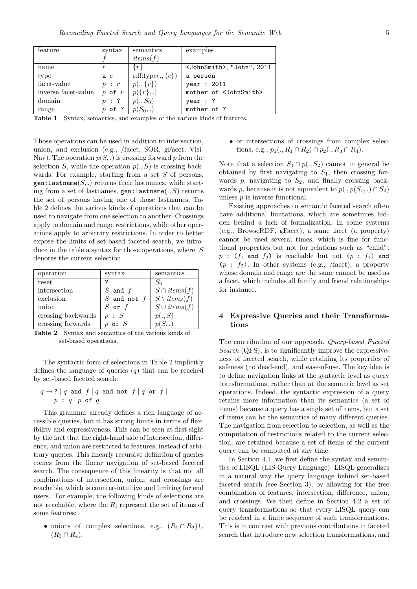| feature             | syntax     | semantics             | examples                              |
|---------------------|------------|-----------------------|---------------------------------------|
|                     |            | items(f)              |                                       |
| name                |            | $\{r\}$               | <johnsmith>, "John", 2011</johnsmith> |
| type                | ac         | rdf:type $(., \{c\})$ | a person                              |
| facet-value         | p : r      | $p(., \{r\})$         | year : 2011                           |
| inverse facet-value | $p$ of $r$ | $p({r},.)$            | mother of <johnsmith></johnsmith>     |
| domain              | $p$ : ?    | $p(., S_0)$           | year: ?                               |
| range               | $p$ of ?   | $p(S_0,.)$            | mother of ?                           |

Table 1 Syntax, semantics, and examples of the various kinds of features.

Those operations can be used in addition to intersection, union, and exclusion (e.g., /facet, SOR, gFacet, Visi-Nav). The operation  $p(S,.)$  is crossing forward p from the selection S, while the operation  $p(., S)$  is crossing backwards. For example, starting from a set  $S$  of persons,  $gen:$  lastname $(S,.)$  returns their lastnames, while starting from a set of lastnames,  $gen:lastname(., S)$  returns the set of persons having one of those lastnames. Table 2 defines the various kinds of operations that can be used to navigate from one selection to another. Crossings apply to domain and range restrictions, while other operations apply to arbitrary restrictions. In order to better expose the limits of set-based faceted search, we introduce in the table a syntax for those operations, where  $S$ denotes the current selection.

| operation          | syntax          | semantics              |
|--------------------|-----------------|------------------------|
| reset              |                 | $S_0$                  |
| intersection       | $S$ and $f$     | $S \cap items(f)$      |
| exclusion          | $S$ and not $f$ | $S \setminus items(f)$ |
| union              | $S$ or $f$      | $S \cup items(f)$      |
| crossing backwards | p : S           | p(.,S)                 |
| crossing forwards  | of $S$          |                        |

Table 2 Syntax and semantics of the various kinds of set-based operations.

The syntactic form of selections in Table 2 implicitly defines the language of queries  $(q)$  that can be reached by set-based faceted search:

$$
q \rightarrow ? \mid q \text{ and } f \mid q \text{ and not } f \mid q \text{ or } f \mid
$$
  

$$
p : q \mid p \text{ of } q
$$

This grammar already defines a rich language of accessible queries, but it has strong limits in terms of flexibility and expressiveness. This can be seen at first sight by the fact that the right-hand side of intersection, difference, and union are restricted to features, instead of arbitrary queries. This linearly recursive definition of queries comes from the linear navigation of set-based faceted search. The consequence of this linearity is that not all combinations of intersection, union, and crossings are reachable, which is counter-intuitive and limiting for end users. For example, the following kinds of selections are not reachable, where the  $R_i$  represent the set of items of some features:

• unions of complex selections, e.g.,  $(R_1 \cap R_2) \cup$  $(R_3 \cap R_4);$ 

• or intersections of crossings from complex selections, e.g.,  $p_1(., R_1 \cap R_2) \cap p_2(., R_3 \cap R_4)$ .

Note that a selection  $S_1 \cap p(., S_2)$  cannot in general be obtained by first navigating to  $S_1$ , then crossing forwards  $p$ , navigating to  $S_2$ , and finally crossing backwards p, because it is not equivalent to  $p(.,p(S_1,.) \cap S_2)$ unless p is inverse functional.

Existing approaches to semantic faceted search often have additional limitations, which are sometimes hidden behind a lack of formalization. In some systems (e.g., BrowseRDF, gFacet), a same facet (a property) cannot be used several times, which is fine for functional properties but not for relations such as "child":  $p : (f_1 \text{ and } f_2)$  is reachable but not  $(p : f_1)$  and  $(p : f_2)$ . In other systems (e.g., /facet), a property whose domain and range are the same cannot be used as a facet, which includes all family and friend relationships for instance.

#### 4 Expressive Queries and their Transformations

The contribution of our approach, Query-based Faceted Search (QFS), is to significantly improve the expressiveness of faceted search, while retaining its properties of safeness (no dead-end), and ease-of-use. The key idea is to define navigation links at the syntactic level as query transformations, rather than at the semantic level as set operations. Indeed, the syntactic expression of a query retains more information than its semantics (a set of items) because a query has a single set of items, but a set of items can be the semantics of many different queries. The navigation from selection to selection, as well as the computation of restrictions related to the current selection, are retained because a set of items of the current query can be computed at any time.

In Section 4.1, we first define the syntax and semantics of LISQL (LIS Query Language). LISQL generalizes in a natural way the query language behind set-based faceted search (see Section 3), by allowing for the free combination of features, intersection, difference, union, and crossings. We then define in Section 4.2 a set of query transformations so that every LISQL query can be reached in a finite sequence of such transformations. This is in contrast with previous contributions in faceted search that introduce new selection transformations, and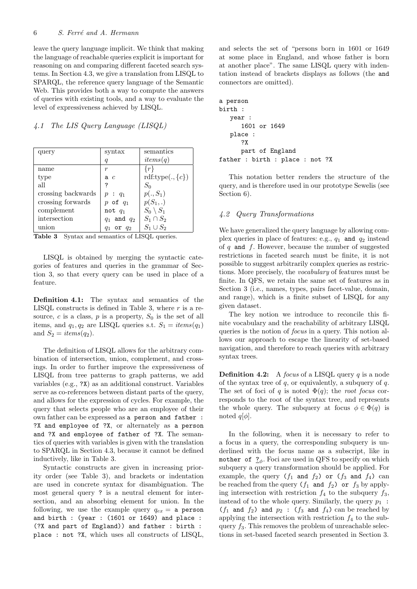leave the query language implicit. We think that making the language of reachable queries explicit is important for reasoning on and comparing different faceted search systems. In Section 4.3, we give a translation from LISQL to SPARQL, the reference query language of the Semantic Web. This provides both a way to compute the answers of queries with existing tools, and a way to evaluate the level of expressiveness achieved by LISQL.

## 4.1 The LIS Query Language (LISQL)

| query              | syntax           | semantics             |
|--------------------|------------------|-----------------------|
|                    | $\boldsymbol{q}$ | items(q)              |
| name               | r                | $\{r$                 |
| type               | a $c$            | rdf:type $(., \{c\})$ |
| all                | ?                | $S_0$                 |
| crossing backwards | $p: q_1$         | $p(., S_1)$           |
| crossing forwards  | $p$ of $q_1$     | $p(S_1,.)$            |
| complement         | not $q_1$        | $S_0 \setminus S_1$   |
| intersection       | $q_1$ and $q_2$  | $S_1 \cap S_2$        |
| union              | or $q_2$         | $S_1\cup S_2$         |

Table 3 Syntax and semantics of LISQL queries.

LISQL is obtained by merging the syntactic categories of features and queries in the grammar of Section 3, so that every query can be used in place of a feature.

Definition 4.1: The syntax and semantics of the LISQL constructs is defined in Table 3, where  $r$  is a resource,  $c$  is a class,  $p$  is a property,  $S_0$  is the set of all items, and  $q_1, q_2$  are LISQL queries s.t.  $S_1 = items(q_1)$ and  $S_2 = items(q_2)$ .

The definition of LISQL allows for the arbitrary combination of intersection, union, complement, and crossings. In order to further improve the expressiveness of LISQL from tree patterns to graph patterns, we add variables (e.g., ?X) as an additional construct. Variables serve as co-references between distant parts of the query, and allows for the expression of cycles. For example, the query that selects people who are an employee of their own father can be expressed as a person and father : ?X and employee of ?X, or alternately as a person and ?X and employee of father of ?X. The semantics of queries with variables is given with the translation to SPARQL in Section 4.3, because it cannot be defined inductively, like in Table 3.

Syntactic constructs are given in increasing priority order (see Table 3), and brackets or indentation are used in concrete syntax for disambiguation. The most general query ? is a neutral element for intersection, and an absorbing element for union. In the following, we use the example query  $q_{ex} = a$  person and birth : (year : (1601 or 1649) and place : (?X and part of England)) and father : birth : place : not ?X, which uses all constructs of LISQL, and selects the set of "persons born in 1601 or 1649 at some place in England, and whose father is born at another place". The same LISQL query with indentation instead of brackets displays as follows (the and connectors are omitted).

```
a person
birth :
   year :
      1601 or 1649
   place :
      ?X
      part of England
father : birth : place : not ?X
```
This notation better renders the structure of the query, and is therefore used in our prototype Sewelis (see Section 6).

#### 4.2 Query Transformations

We have generalized the query language by allowing complex queries in place of features: e.g.,  $q_1$  and  $q_2$  instead of q and f. However, because the number of suggested restrictions in faceted search must be finite, it is not possible to suggest arbitrarily complex queries as restrictions. More precisely, the vocabulary of features must be finite. In QFS, we retain the same set of features as in Section 3 (i.e., names, types, pairs facet-value, domain, and range), which is a finite subset of LISQL for any given dataset.

The key notion we introduce to reconcile this finite vocabulary and the reachability of arbitrary LISQL queries is the notion of focus in a query. This notion allows our approach to escape the linearity of set-based navigation, and therefore to reach queries with arbitrary syntax trees.

**Definition 4.2:** A *focus* of a LISQL query  $q$  is a node of the syntax tree of  $q$ , or equivalently, a subquery of  $q$ . The set of foci of q is noted  $\Phi(q)$ ; the root focus corresponds to the root of the syntax tree, and represents the whole query. The subquery at focus  $\phi \in \Phi(q)$  is noted  $q[\phi]$ .

In the following, when it is necessary to refer to a focus in a query, the corresponding subquery is underlined with the focus name as a subscript, like in mother of  $?_{\phi}$ . Foci are used in QFS to specify on which subquery a query transformation should be applied. For example, the query  $(f_1$  and  $f_2$ ) or  $(f_3$  and  $f_4$ ) can be reached from the query  $(f_1 \text{ and } f_2)$  or  $f_3$  by applying intersection with restriction  $f_4$  to the subquery  $f_3$ , instead of to the whole query. Similarly, the query  $p_1$ :  $(f_1$  and  $f_2)$  and  $p_2$ :  $(f_3$  and  $f_4)$  can be reached by applying the intersection with restriction  $f_4$  to the subquery  $f_3$ . This removes the problem of unreachable selections in set-based faceted search presented in Section 3.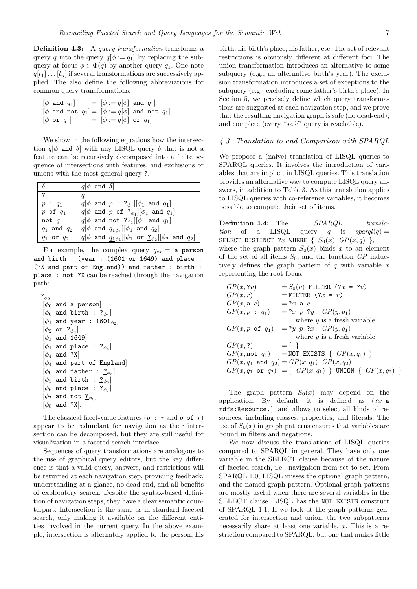Definition 4.3: A query transformation transforms a query q into the query  $q[\phi := q_1]$  by replacing the subquery at focus  $\phi \in \Phi(q)$  by another query  $q_1$ . One note  $q[t_1] \dots [t_n]$  if several transformations are successively applied. The also define the following abbreviations for common query transformations:

$$
\begin{array}{lll} [\phi \text{ and } q_1] &= [\phi := q[\phi] \text{ and } q_1] \\ [\phi \text{ and not } q_1] &= [\phi := q[\phi] \text{ and not } q_1] \\ [\phi \text{ or } q_1] &= [\phi := q[\phi] \text{ or } q_1] \end{array}
$$

We show in the following equations how the intersection  $q[\phi]$  and  $\delta$  with any LISQL query  $\delta$  that is not a feature can be recursively decomposed into a finite sequence of intersections with features, and exclusions or unions with the most general query ?.

| $\delta$                | $q \phi \text{ and } \delta $                                                                          |
|-------------------------|--------------------------------------------------------------------------------------------------------|
| $\overline{\mathbf{z}}$ |                                                                                                        |
| $p: q_1$                | $q[\phi \text{ and } p : \underline{?}_{\phi_1}][\phi_1 \text{ and } q_1]$                             |
| $p$ of $q_1$            | $ q \phi$ and p of $?_{\phi_1}$   $ \phi_1$ and $q_1$                                                  |
| not $q_1$               | $q[\phi]$ and not $?_{\phi_1}][\phi_1$ and $q_1]$                                                      |
| $q_1$ and $q_2$         | $q[\phi]$ and $q_{1\phi_1}][\phi_1$ and $q_2]$                                                         |
| $q_1$ or $q_2$          | $q[\phi \text{ and } q_{1\phi_1}][\phi_1 \text{ or } \underline{?}_{\phi_2}][\phi_2 \text{ and } q_2]$ |

For example, the complex query  $q_{ex} = a$  person and birth : (year : (1601 or 1649) and place : (?X and part of England)) and father : birth : place : not ?X can be reached through the navigation path:

```
\frac{?}{\phi_0}[\phi_0 and a person]
 [\phi_0 and birth : \underline{?}_{\phi_1}][\phi_1 and year : \underline{1601}_{\phi_2}][\phi_2 or \underline{?}_{\phi_3}]\lbrack \phi_3 \rangle and 1649
 [\phi_1 and place : \underline{?}_{\phi_4}]\lbrack \phi_4 \text{ and } ?X \rbrack[\phi_4 and part of England
 [\phi_0 and father : \underline{?}_{\phi_5}][\phi_5 and birth : \underline{?}_{\phi_6}][\phi_6 and place : \underline{?}_{\phi_7}][\phi_7 and not \frac{?}{\phi_8}][\phi_8 \text{ and } ?X].
```
The classical facet-value features  $(p : r \text{ and } p \text{ of } r)$ appear to be redundant for navigation as their intersection can be decomposed, but they are still useful for visualization in a faceted search interface.

Sequences of query transformations are analogous to the use of graphical query editors, but the key difference is that a valid query, answers, and restrictions will be returned at each navigation step, providing feedback, understanding-at-a-glance, no dead-end, and all benefits of exploratory search. Despite the syntax-based definition of navigation steps, they have a clear semantic counterpart. Intersection is the same as in standard faceted search, only making it available on the different entities involved in the current query. In the above example, intersection is alternately applied to the person, his

birth, his birth's place, his father, etc. The set of relevant restrictions is obviously different at different foci. The union transformation introduces an alternative to some subquery (e.g., an alternative birth's year). The exclusion transformation introduces a set of exceptions to the subquery (e.g., excluding some father's birth's place). In Section 5, we precisely define which query transformations are suggested at each navigation step, and we prove that the resulting navigation graph is safe (no dead-end), and complete (every "safe" query is reachable).

#### 4.3 Translation to and Comparison with SPARQL

We propose a (naive) translation of LISQL queries to SPARQL queries. It involves the introduction of variables that are implicit in LISQL queries. This translation provides an alternative way to compute LISQL query answers, in addition to Table 3. As this translation applies to LISQL queries with co-reference variables, it becomes possible to compute their set of items.

**Definition 4.4:** The SPARQL translation of a LISQL query q is sparql(q) = SELECT DISTINCT ?x WHERE  $\{S_0(x) \text{ } GP(x,q) \}$ , where the graph pattern  $S_0(x)$  binds x to an element of the set of all items  $S_0$ , and the function  $GP$  inductively defines the graph pattern of  $q$  with variable x representing the root focus.

| GP(x, ?v)                  | $=S_0(v)$ FILTER (?x = ?v)                                               |
|----------------------------|--------------------------------------------------------------------------|
| GP(x, r)                   | $=$ FILTER $(?x = r)$                                                    |
| GP(x, a c)                 | $= ?x$ a c.                                                              |
| $GP(x, p : q_1)$           | $= ?x \ p \ ?y \qquad GP(y, q_1)$                                        |
|                            | where $y$ is a fresh variable                                            |
| $GP(x, p \text{ of } q_1)$ | $= ?y \, p \, ?x \, G P(y,q_1)$                                          |
|                            | where $y$ is a fresh variable                                            |
| GP(x,?)                    | $= \{ \}$                                                                |
|                            | $GP(x, \text{not } q_1)$ = NOT EXISTS { $GP(x, q_1)$ }                   |
|                            | $GP(x, q_1 \text{ and } q_2) = GP(x, q_1)$ $GP(x, q_2)$                  |
|                            | $GP(x, q_1 \text{ or } q_2) = \{ GP(x, q_1) \}$ UNION $\{ GP(x, q_2) \}$ |
|                            |                                                                          |

The graph pattern  $S_0(x)$  may depend on the application. By default, it is defined as  $(?x$  a rdfs:Resource.), and allows to select all kinds of resources, including classes, properties, and literals. The use of  $S_0(x)$  in graph patterns ensures that variables are bound in filters and negations.

We now discuss the translations of LISQL queries compared to SPARQL in general. They have only one variable in the SELECT clause because of the nature of faceted search, i.e., navigation from set to set. From SPARQL 1.0, LISQL misses the optional graph pattern, and the named graph pattern. Optional graph patterns are mostly useful when there are several variables in the SELECT clause. LISQL has the NOT EXISTS construct of SPARQL 1.1. If we look at the graph patterns generated for intersection and union, the two subpatterns necessarily share at least one variable, x. This is a restriction compared to SPARQL, but one that makes little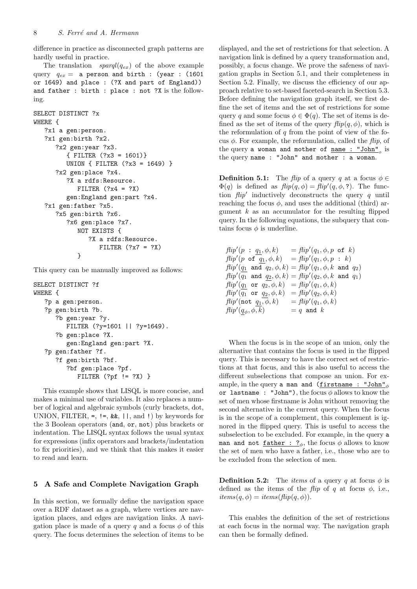difference in practice as disconnected graph patterns are hardly useful in practice.

The translation  $spanql(q_{ex})$  of the above example query  $q_{ex}$  = a person and birth : (year : (1601) or 1649) and place : (?X and part of England)) and father : birth : place : not ?X is the following.

```
SELECT DISTINCT ?x
WHERE {
   ?x1 a gen:person.
   ?x1 gen:birth ?x2.
      ?x2 gen:year ?x3.
         { FILTER (?x3 = 1601)}
         UNION { FILTER (?x3 = 1649) }
      ?x2 gen:place ?x4.
         ?X a rdfs: Resource.
            FILTER (?x4 = ?X)gen:England gen:part ?x4.
   ?x1 gen:father ?x5.
      ?x5 gen:birth ?x6.
         ?x6 gen:place ?x7.
            NOT EXISTS {
               ?X a rdfs:Resource.
                  FILTER (?x7 = ?X)}
```
This query can be manually improved as follows:

```
SELECT DISTINCT ?f
WHERE {
   ?p a gen:person.
   ?p gen:birth ?b.
      ?b gen:year ?y.
         FILTER (?y=1601 || ?y=1649).
      ?b gen:place ?X.
         gen:England gen:part ?X.
   ?p gen:father ?f.
      ?f gen:birth ?bf.
         ?bf gen:place ?pf.
            FILTER ('pf != ?X)}
```
This example shows that LISQL is more concise, and makes a minimal use of variables. It also replaces a number of logical and algebraic symbols (curly brackets, dot, UNION, FILTER,  $=$ ,  $!=$ ,  $\&$ ,  $\&$ ,  $\| \cdot \|$ , and  $\| \cdot \|$ ) by keywords for the 3 Boolean operators (and, or, not) plus brackets or indentation. The LISQL syntax follows the usual syntax for expressions (infix operators and brackets/indentation to fix priorities), and we think that this makes it easier to read and learn.

#### 5 A Safe and Complete Navigation Graph

In this section, we formally define the navigation space over a RDF dataset as a graph, where vertices are navigation places, and edges are navigation links. A navigation place is made of a query q and a focus  $\phi$  of this query. The focus determines the selection of items to be

displayed, and the set of restrictions for that selection. A navigation link is defined by a query transformation and, possibly, a focus change. We prove the safeness of navigation graphs in Section 5.1, and their completeness in Section 5.2. Finally, we discuss the efficiency of our approach relative to set-based faceted-search in Section 5.3. Before defining the navigation graph itself, we first define the set of items and the set of restrictions for some query q and some focus  $\phi \in \Phi(q)$ . The set of items is defined as the set of items of the query  $flip(q, \phi)$ , which is the reformulation of  $q$  from the point of view of the focus  $\phi$ . For example, the reformulation, called the *flip*, of the query a woman and mother of  $\frac{name}{name}$ : "John"<sub>φ</sub> is the query name : "John" and mother : a woman.

**Definition 5.1:** The flip of a query q at a focus  $\phi \in$  $\Phi(q)$  is defined as  $flip(q, \phi) = flip'(q, \phi, ?)$ . The function  $flip'$  inductively deconstructs the query  $q$  until reaching the focus  $\phi$ , and uses the additional (third) argument  $k$  as an accumulator for the resulting flipped query. In the following equations, the subquery that contains focus  $\phi$  is underline.

 $flip'(p : q_1, \phi, k) = flip'$  $\eta=f\hskip-1.6pt\hskip-.7pt d\hskip-1.6pt\eta\,f(q_1,\phi,p$  of  $k)$  $f\llbracket \text{fip}'(p \text{ of } q_1, \phi, k) = f\llbracket \text{fip}'(q_1, \phi, p : k) \right)$  $f\llbracket \mathit{flip}'(q_1 \texttt{ and } q_2, \phi, k) = f\llbracket \mathit{tip}'(q_1, \phi, k \texttt{ and } q_2) \rrbracket$  $\operatorname{\it flip'}(\overline{q_1} \;\; \text{and} \;\; q_2, \phi, k) = \operatorname{\it flip'}(q_2, \phi, k \;\; \text{and} \;\; q_1)$  $f\!lip'(q_1 \,\,\, {\rm or} \,\,\, \overline{q_2,\phi},k) \,\,\, = f\!lip'(q_1,\phi,k)$  $f\!\ell i p'(\overline{q_1}\;\,\texttt{or}\;\,q_2,\phi,k) = f\!\ell i p'(q_2,\phi,k)$  $flip'(\texttt{not} q_1, \phi, k) = flip'(q_1, \phi, k)$  $flip'(q_{\phi}, \phi, k)$  $q = q$  and  $k$ 

When the focus is in the scope of an union, only the alternative that contains the focus is used in the flipped query. This is necessary to have the correct set of restrictions at that focus, and this is also useful to access the different subselections that compose an union. For example, in the query a man and (firstname : "John"<sub>φ</sub> or lastname : "John"), the focus  $\phi$  allows to know the set of men whose firstname is John without removing the second alternative in the current query. When the focus is in the scope of a complement, this complement is ignored in the flipped query. This is useful to access the subselection to be excluded. For example, in the query a man and not <u>father : ?</u> $\phi$ , the focus  $\phi$  allows to know the set of men who have a father, i.e., those who are to be excluded from the selection of men.

**Definition 5.2:** The *items* of a query q at focus  $\phi$  is defined as the items of the *flip* of q at focus  $\phi$ , i.e.,  $items(q, \phi) = items(flip(q, \phi)).$ 

This enables the definition of the set of restrictions at each focus in the normal way. The navigation graph can then be formally defined.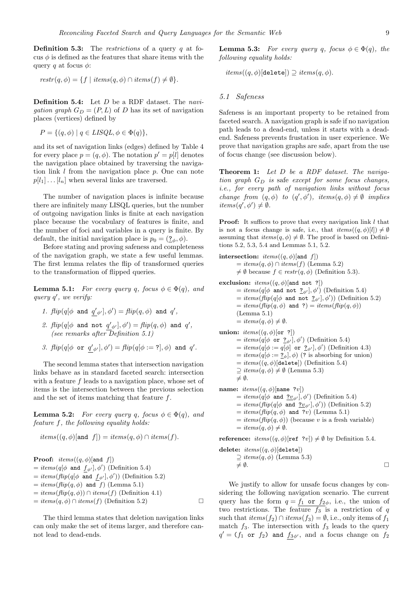**Definition 5.3:** The *restrictions* of a query  $q$  at focus  $\phi$  is defined as the features that share items with the query q at focus  $\phi$ :

$$
restr(q, \phi) = \{ f \mid items(q, \phi) \cap items(f) \neq \emptyset \}.
$$

**Definition 5.4:** Let  $D$  be a RDF dataset. The *navi*gation graph  $G_D = (P, L)$  of D has its set of navigation places (vertices) defined by

$$
P = \{ (q, \phi) \mid q \in \text{LISQL}, \phi \in \Phi(q) \},
$$

and its set of navigation links (edges) defined by Table 4 for every place  $p = (q, \phi)$ . The notation  $p' = p[l]$  denotes the navigation place obtained by traversing the navigation link  $l$  from the navigation place  $p$ . One can note  $p[l_1] \dots [l_n]$  when several links are traversed.

The number of navigation places is infinite because there are infinitely many LISQL queries, but the number of outgoing navigation links is finite at each navigation place because the vocabulary of features is finite, and the number of foci and variables in a query is finite. By default, the initial navigation place is  $p_0 = (2\omega, \phi)$ .

Before stating and proving safeness and completeness of the navigation graph, we state a few useful lemmas. The first lemma relates the flip of transformed queries to the transformation of flipped queries.

**Lemma 5.1:** For every query q, focus  $\phi \in \Phi(q)$ , and query q ′ , we verify:

- 1.  $flip(q[\phi \text{ and } q'\phi'], \phi') = flip(q, \phi) \text{ and } q',$
- 2.  $flip(q[\phi \text{ and not } q'_{\phi'}], \phi') = flip(q, \phi) \text{ and } q',$ (see remarks after Definition 5.1)

3. 
$$
flip(q[\phi \text{ or } q'_{\phi'}], \phi') = flip(q[\phi := ?], \phi)
$$
 and  $q'$ .

The second lemma states that intersection navigation links behave as in standard faceted search: intersection with a feature f leads to a navigation place, whose set of items is the intersection between the previous selection and the set of items matching that feature f.

**Lemma 5.2:** For every query q, focus  $\phi \in \Phi(q)$ , and feature f, the following equality holds:

$$
items((q, \phi)[\text{and } f]) = items(q, \phi) \cap items(f).
$$

**Proof:**  $items((q, \phi)[and f])$  $= items(q[\phi \text{ and } f_{\phi'}], \phi')$  (Definition 5.4)  $= items(\text{flip}(q[\phi \text{ and } f_{\phi'}], \phi'))$  (Definition 5.2)  $= items(flip(q, \phi)$  and f) (Lemma 5.1)  $= items(\text{flip}(q, \phi)) \cap items(f)$  (Definition 4.1)  $= items(q, \phi) \cap items(f)$  (Definition 5.2)

The third lemma states that deletion navigation links can only make the set of items larger, and therefore cannot lead to dead-ends.

**Lemma 5.3:** For every query q, focus  $\phi \in \Phi(q)$ , the following equality holds:

 $items((q, \phi)$ [delete])  $\supseteq items(q, \phi)$ .

#### 5.1 Safeness

Safeness is an important property to be retained from faceted search. A navigation graph is safe if no navigation path leads to a dead-end, unless it starts with a deadend. Safeness prevents frustation in user experience. We prove that navigation graphs are safe, apart from the use of focus change (see discussion below).

Theorem 1: Let D be a RDF dataset. The navigation graph  $G_D$  is safe except for some focus changes, i.e., for every path of navigation links without focus change from  $(q, \phi)$  to  $(q', \phi')$ , items $(q, \phi) \neq \emptyset$  implies  $items(q', \phi') \neq \emptyset.$ 

**Proof:** It suffices to prove that every navigation link  $l$  that is not a focus change is safe, i.e., that  $items((q, \phi)[l]) \neq \emptyset$ assuming that  $items(q, \phi) \neq \emptyset$ . The proof is based on Definitions 5.2, 5.3, 5.4 and Lemmas 5.1, 5.2.

```
intersection: items((q, \phi)[and f])= items(q, \phi) \cap items(f) (Lemma 5.2)
        \neq \emptyset because f \in \text{restr}(q, \phi) (Definition 5.3).
exclusion: items((q, \phi)[and not ?])= items(q[\phi \text{ and not } \underline{?}_{\phi'}], \phi') (Definition 5.4)
         = items(\overrightarrow{flip}(q[\phi \text{ and not } ?_{\phi'}], \phi')) (Definition 5.2)
        = items(flip(q, \phi) and ?) = items(flip(q, \phi))(Lemma 5.1)
        = items(q, \phi) \neq \emptyset.union: items((q, \phi)[or ?])= items(q[\phi \text{ or } ?_{\phi'}], \phi') (Definition 5.4)
         = items(q[\phi := q[\phi] \text{ or } ?_{\phi'}], \phi') (Definition 4.3)
        = items(q[\phi := \underline{?}_{\phi}], \phi) (? is absorbing for union)
        = items((q, \phi)[delete]) (Definition 5.4)
        \supseteq items(q, \phi) \neq \emptyset (Lemma 5.3)
        \neq \emptyset.
name: items((q, \phi)[name ?v])
         = items(q[\phi \text{ and } ?v_{\phi'}], \phi') (Definition 5.4)
         = items(\overrightarrow{flip}(q[\phi \text{ and } ?v_{\phi'}], \phi')) (Definition 5.2)
        = items(flip(q, \phi) and ?v) (Lemma 5.1)
        = items(\text{flip}(q, \phi)) (because v is a fresh variable)
        = items(q, \phi) \neq \emptyset.reference: items((q, \phi)[ref ?v]) \neq \emptyset by Definition 5.4.
```

$$
\begin{array}{ll}\n\text{delete: } items((q, \phi) [\text{delete}]) \\
\supseteq items(q, \phi) \text{ (Lemma 5.3)} \\
\neq \emptyset.\n\end{array}
$$

We justify to allow for unsafe focus changes by considering the following navigation scenario. The current query has the form  $q = f_1$  or  $f_{2\phi}$ , i.e., the union of two restrictions. The feature  $f_3$  is a restriction of q such that  $items(f_2) \cap items(f_3) = \emptyset$ , i.e., only items of  $f_1$ match  $f_3$ . The intersection with  $f_3$  leads to the query  $q' = (f_1 \text{ or } f_2)$  and  $f_{3\phi'}$ , and a focus change on  $f_2$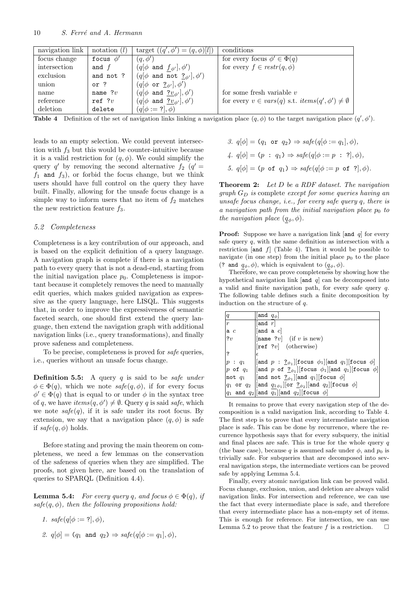| navigation link | notation $(l)$ | target $((q', \phi') = (q, \phi)[l])$                     | conditions                                                       |
|-----------------|----------------|-----------------------------------------------------------|------------------------------------------------------------------|
| focus change    | focus $\phi'$  | $(q, \phi')$                                              | for every focus $\phi' \in \Phi(q)$                              |
| intersection    | and $f$        | $(q[\phi \text{ and } f_{\phi'}], \phi')$                 | for every $f \in restr(q, \phi)$                                 |
| exclusion       | and not ?      | $(q[\phi \text{ and not } \underline{?}_{\phi'}], \phi')$ |                                                                  |
| union           | or ?           | $(q[\phi \text{ or } \underline{?}_{\phi'}], \phi')$      |                                                                  |
| name            | name $?v$      | $(q[\phi \text{ and } \underline{?v}_{\phi'}], \phi')$    | for some fresh variable $v$                                      |
| reference       | ref ? $v$      | $(q[\phi \text{ and } \underline{?v}_{\phi'}], \phi')$    | for every $v \in vars(q)$ s.t. $items(q', \phi') \neq \emptyset$ |
| deletion        | delete         | $(q[\phi := ?], \phi)$                                    |                                                                  |

**Table 4** Definition of the set of navigation links linking a navigation place  $(q, \phi)$  to the target navigation place  $(q', \phi')$ .

leads to an empty selection. We could prevent intersection with  $f_3$  but this would be counter-intuitive because it is a valid restriction for  $(q, \phi)$ . We could simplify the query q' by removing the second alternative  $f_2$  (q' =  $f_1$  and  $f_3$ ), or forbid the focus change, but we think users should have full control on the query they have built. Finally, allowing for the unsafe focus change is a simple way to inform users that no item of  $f_2$  matches the new restriction feature  $f_3$ .

#### 5.2 Completeness

Completeness is a key contribution of our approach, and is based on the explicit definition of a query language. A navigation graph is complete if there is a navigation path to every query that is not a dead-end, starting from the initial navigation place  $p_0$ . Completeness is important because it completely removes the need to manually edit queries, which makes guided navigation as expressive as the query language, here LISQL. This suggests that, in order to improve the expressiveness of semantic faceted search, one should first extend the query language, then extend the navigation graph with additional navigation links (i.e., query transformations), and finally prove safeness and completeness.

To be precise, completeness is proved for *safe* queries. i.e., queries without an unsafe focus change.

**Definition 5.5:** A query  $q$  is said to be safe under  $\phi \in \Phi(q)$ , which we note  $\text{safe}(q, \phi)$ , if for every focus  $\phi' \in \Phi(q)$  that is equal to or under  $\phi$  in the syntax tree of q, we have  $items(q, \phi') \neq \emptyset$ . Query q is said safe, which we note  $\textit{safe}(q)$ , if it is safe under its root focus. By extension, we say that a navigation place  $(q, \phi)$  is safe if  $\textit{safe}(q, \phi)$  holds.

Before stating and proving the main theorem on completeness, we need a few lemmas on the conservation of the safeness of queries when they are simplified. The proofs, not given here, are based on the translation of queries to SPARQL (Definition 4.4).

**Lemma 5.4:** For every query q, and focus  $\phi \in \Phi(q)$ , if  $safe(q, \phi)$ , then the following propositions hold:

1. 
$$
safe(q[\phi := ?], \phi),
$$

2.  $q[\phi] = (q_1 \text{ and } q_2) \Rightarrow \text{safe}(q[\phi := q_1], \phi),$ 

3.  $q[\phi] = (q_1 \text{ or } q_2) \Rightarrow \text{safe}(q[\phi := q_1], \phi),$ 4.  $q[\phi] = (p : q_1) \Rightarrow \text{safe}(q[\phi := p : ?], \phi),$ 5.  $q[\phi] = (p \text{ of } q_1) \Rightarrow \text{safe}(q[\phi := p \text{ of } ?], \phi).$ 

**Theorem 2:** Let D be a RDF dataset. The navigation  $graph G_D$  is complete except for some queries having an unsafe focus change, i.e., for every safe query q, there is a navigation path from the initial navigation place  $p_0$  to the navigation place  $(q_{\phi}, \phi)$ .

**Proof:** Suppose we have a navigation link [and  $q$ ] for every safe query  $q$ , with the same definition as intersection with a restriction  $[and f]$  (Table 4). Then it would be possible to navigate (in one step) from the initial place  $p_0$  to the place (? and  $q_{\phi}, \phi$ ), which is equivalent to  $(q_{\phi}, \phi)$ .

Therefore, we can prove completeness by showing how the hypothetical navigation link  $[and q]$  can be decomposed into a valid and finite navigation path, for every safe query q. The following table defines such a finite decomposition by induction on the structure of q.

| q                                | $ {\tt and}\, \ q_\phi $                                                                                                                                                                                                                          |
|----------------------------------|---------------------------------------------------------------------------------------------------------------------------------------------------------------------------------------------------------------------------------------------------|
| $\vert r$                        | $ $ and $r $                                                                                                                                                                                                                                      |
| $\left  \text{a}\right\rangle c$ | and a $c$                                                                                                                                                                                                                                         |
| ?v                               | [name $ ?v $ (if v is new)                                                                                                                                                                                                                        |
|                                  | $\begin{bmatrix} \text{ref} & ?v \end{bmatrix}$ (otherwise)                                                                                                                                                                                       |
| ا?                               | ΙE                                                                                                                                                                                                                                                |
| $ p \; : \; q_1$                 | $\lvert \lvert$ and $p : \underline{?}_{\phi_1} \rvert$ [focus $\phi_1 \rvert$ and $q_1 \rvert$ [focus $\phi \rvert$ ]                                                                                                                            |
|                                  | p of $q_1$   and p of $q_2$   focus $\phi_1$   and $q_1$   focus $\phi$                                                                                                                                                                           |
| $ $ not $q_1$                    | and not $?_{\phi_1}$   and $q_1$   focus $\phi$                                                                                                                                                                                                   |
| $ q_1 \>$ or $ q_2 \>$           | $\left  \begin{bmatrix} \texttt{and} & q_{1\phi_1} \end{bmatrix} \begin{bmatrix} \texttt{or} & \underline{?}_{\phi_2} \end{bmatrix} \begin{bmatrix} \texttt{and} & q_2 \end{bmatrix} \begin{bmatrix} \texttt{focus} & \phi \end{bmatrix} \right $ |
|                                  | $ q_1\>$ and $ q_2 $ [and $ q_1 $ [and $ q_2 $ [focus $ \phi $                                                                                                                                                                                    |

It remains to prove that every navigation step of the decomposition is a valid navigation link, according to Table 4. The first step is to prove that every intermediate navigation place is safe. This can be done by recurrence, where the recurrence hypothesis says that for every subquery, the initial and final places are safe. This is true for the whole query  $q$ (the base case), because q is assumed safe under  $\phi$ , and  $p_0$  is trivially safe. For subqueries that are decomposed into several navigation steps, the intermediate vertices can be proved safe by applying Lemma 5.4.

Finally, every atomic navigation link can be proved valid. Focus change, exclusion, union, and deletion are always valid navigation links. For intersection and reference, we can use the fact that every intermediate place is safe, and therefore that every intermediate place has a non-empty set of items. This is enough for reference. For intersection, we can use Lemma 5.2 to prove that the feature f is a restriction.  $\Box$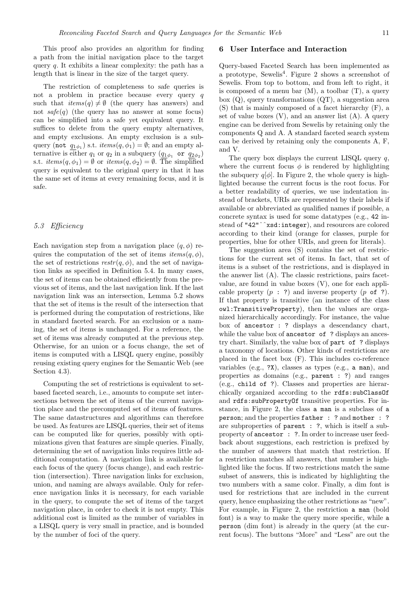This proof also provides an algorithm for finding a path from the initial navigation place to the target query  $q$ . It exhibits a linear complexity: the path has a length that is linear in the size of the target query.

The restriction of completeness to safe queries is not a problem in practice because every query q such that  $items(q) \neq \emptyset$  (the query has answers) and not  $\textit{safe}(q)$  (the query has no answer at some focus) can be simplified into a safe yet equivalent query. It suffices to delete from the query empty alternatives, and empty exclusions. An empty exclusion is a subquery (not  $q_{1\phi_1}$ ) s.t.  $items(q, \phi_1) = \emptyset$ ; and an empty alternative is either  $q_1$  or  $q_2$  in a subquery  $(q_{1\phi_1}$  or  $q_{2\phi_2})$ s.t.  $items(q, \phi_1) = \emptyset$  or  $items(q, \phi_2) = \emptyset$ . The simplified query is equivalent to the original query in that it has the same set of items at every remaining focus, and it is safe.

#### 5.3 Efficiency

Each navigation step from a navigation place  $(q, \phi)$  requires the computation of the set of items  $items(q, \phi)$ , the set of restrictions  $\text{restr}(q, \phi)$ , and the set of navigation links as specified in Definition 5.4. In many cases, the set of items can be obtained efficiently from the previous set of items, and the last navigation link. If the last navigation link was an intersection, Lemma 5.2 shows that the set of items is the result of the intersection that is performed during the computation of restrictions, like in standard faceted search. For an exclusion or a naming, the set of items is unchanged. For a reference, the set of items was already computed at the previous step. Otherwise, for an union or a focus change, the set of items is computed with a LISQL query engine, possibly reusing existing query engines for the Semantic Web (see Section 4.3).

Computing the set of restrictions is equivalent to setbased faceted search, i.e., amounts to compute set intersections between the set of items of the current navigation place and the precomputed set of items of features. The same datastructures and algorithms can therefore be used. As features are LISQL queries, their set of items can be computed like for queries, possibly with optimizations given that features are simple queries. Finally, determining the set of navigation links requires little additional computation. A navigation link is available for each focus of the query (focus change), and each restriction (intersection). Three navigation links for exclusion, union, and naming are always available. Only for reference navigation links it is necessary, for each variable in the query, to compute the set of items of the target navigation place, in order to check it is not empty. This additional cost is limited as the number of variables in a LISQL query is very small in practice, and is bounded by the number of foci of the query.

#### 6 User Interface and Interaction

Query-based Faceted Search has been implemented as a prototype, Sewelis<sup>4</sup> . Figure 2 shows a screenshot of Sewelis. From top to bottom, and from left to right, it is composed of a menu bar  $(M)$ , a toolbar  $(T)$ , a query box  $(Q)$ , query transformations  $(QT)$ , a suggestion area (S) that is mainly composed of a facet hierarchy (F), a set of value boxes  $(V)$ , and an answer list  $(A)$ . A query engine can be derived from Sewelis by retaining only the components Q and A. A standard faceted search system can be derived by retaining only the components A, F, and V.

The query box displays the current LISQL query  $q$ , where the current focus  $\phi$  is rendered by highlighting the subquery  $q[\phi]$ . In Figure 2, the whole query is highlighted because the current focus is the root focus. For a better readability of queries, we use indentation instead of brackets, URIs are represented by their labels if available or abbreviated as qualified names if possible, a concrete syntax is used for some datatypes (e.g., 42 instead of "42"ˆˆxsd:integer), and resources are colored according to their kind (orange for classes, purple for properties, blue for other URIs, and green for literals).

The suggestion area (S) contains the set of restrictions for the current set of items. In fact, that set of items is a subset of the restrictions, and is displayed in the answer list (A). The classic restrictions, pairs facetvalue, are found in value boxes (V), one for each applicable property  $(p : ?)$  and inverse property  $(p \circ f ?)$ . If that property is transitive (an instance of the class owl:TransitiveProperty), then the values are organized hierarchically accordingly. For instance, the value box of ancestor : ? displays a descendancy chart, while the value box of ancestor of ? displays an ancestry chart. Similarly, the value box of part of ? displays a taxonomy of locations. Other kinds of restrictions are placed in the facet box (F). This includes co-reference variables (e.g., ?X), classes as types (e.g., a man), and properties as domains (e.g., parent : ?) and ranges (e.g., child of ?). Classes and properties are hierarchically organized according to the rdfs:subClassOf and rdfs:subPropertyOf transitive properties. For instance, in Figure 2, the class a man is a subclass of a person; and the properties father : ? and mother : ? are subproperties of parent : ?, which is itself a subproperty of ancestor : ?. In order to increase user feedback about suggestions, each restriction is prefixed by the number of answers that match that restriction. If a restriction matches all answers, that number is highlighted like the focus. If two restrictions match the same subset of answers, this is indicated by highlighting the two numbers with a same color. Finally, a dim font is used for restrictions that are included in the current query, hence emphasizing the other restrictions as "new". For example, in Figure 2, the restriction a man (bold font) is a way to make the query more specific, while a person (dim font) is already in the query (at the current focus). The buttons "More" and "Less" are out the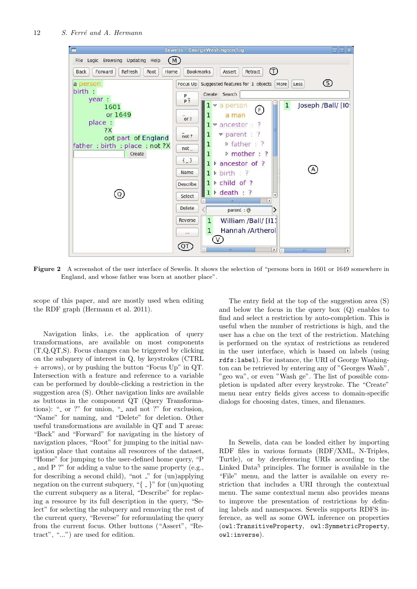

Figure 2 A screenshot of the user interface of Sewelis. It shows the selection of "persons born in 1601 or 1649 somewhere in England, and whose father was born at another place".

scope of this paper, and are mostly used when editing the RDF graph (Hermann et al. 2011).

Navigation links, i.e. the application of query transformations, are available on most components (T,Q,QT,S). Focus changes can be triggered by clicking on the subquery of interest in Q, by keystrokes (CTRL + arrows), or by pushing the button "Focus Up" in QT. Intersection with a feature and reference to a variable can be performed by double-clicking a restriction in the suggestion area (S). Other navigation links are available as buttons in the component QT (Query Transformations): " $\sim$  or ?" for union, " $\sim$  and not ?" for exclusion, "Name" for naming, and "Delete" for deletion. Other useful transformations are available in QT and T areas: "Back" and "Forward" for navigating in the history of navigation places, "Root" for jumping to the initial navigation place that contains all resources of the dataset, "Home" for jumping to the user-defined home query, "P and P ?" for adding a value to the same property (e.g., for describing a second child), "not  $\Box$ " for  $\text{(un)applying}$ negation on the current subquery, " $\{-\}$ " for (un)quoting the current subquery as a literal, "Describe" for replacing a resource by its full description in the query, "Select" for selecting the subquery and removing the rest of the current query, "Reverse" for reformulating the query from the current focus. Other buttons ("Assert", "Retract", "...") are used for edition.

The entry field at the top of the suggestion area (S) and below the focus in the query box (Q) enables to find and select a restriction by auto-completion. This is useful when the number of restrictions is high, and the user has a clue on the text of the restriction. Matching is performed on the syntax of restrictions as rendered in the user interface, which is based on labels (using rdfs:label). For instance, the URI of George Washington can be retrieved by entering any of "Georges Wash", "geo wa", or even "Wash ge". The list of possible completion is updated after every keystroke. The "Create" menu near entry fields gives access to domain-specific dialogs for choosing dates, times, and filenames.

In Sewelis, data can be loaded either by importing RDF files in various formats (RDF/XML, N-Triples, Turtle), or by dereferencing URIs according to the Linked  $Data<sup>5</sup>$  principles. The former is available in the "File" menu, and the latter is available on every restriction that includes a URI through the contextual menu. The same contextual menu also provides means to improve the presentation of restrictions by defining labels and namespaces. Sewelis supports RDFS inference, as well as some OWL inference on properties (owl:TransitiveProperty, owl:SymmetricProperty, owl:inverse).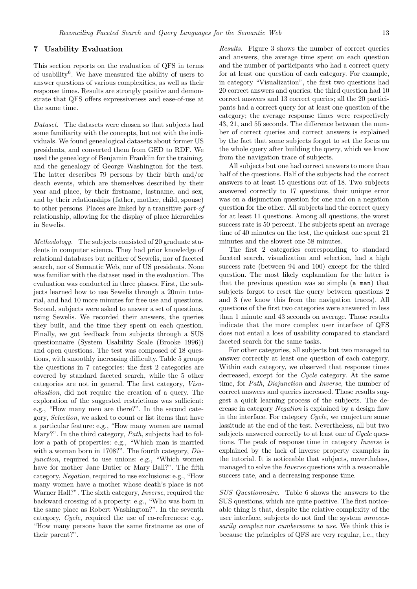#### 7 Usability Evaluation

This section reports on the evaluation of QFS in terms of usability<sup>6</sup>. We have measured the ability of users to answer questions of various complexities, as well as their response times. Results are strongly positive and demonstrate that QFS offers expressiveness and ease-of-use at the same time.

Dataset. The datasets were chosen so that subjects had some familiarity with the concepts, but not with the individuals. We found genealogical datasets about former US presidents, and converted them from GED to RDF. We used the genealogy of Benjamin Franklin for the training, and the genealogy of George Washington for the test. The latter describes 79 persons by their birth and/or death events, which are themselves described by their year and place, by their firstname, lastname, and sex, and by their relationships (father, mother, child, spouse) to other persons. Places are linked by a transitive part-of relationship, allowing for the display of place hierarchies in Sewelis.

Methodology. The subjects consisted of 20 graduate students in computer science. They had prior knowledge of relational databases but neither of Sewelis, nor of faceted search, nor of Semantic Web, nor of US presidents. None was familiar with the dataset used in the evaluation. The evaluation was conducted in three phases. First, the subjects learned how to use Sewelis through a 20min tutorial, and had 10 more minutes for free use and questions. Second, subjects were asked to answer a set of questions, using Sewelis. We recorded their answers, the queries they built, and the time they spent on each question. Finally, we got feedback from subjects through a SUS questionnaire (System Usability Scale (Brooke 1996)) and open questions. The test was composed of 18 questions, with smoothly increasing difficulty. Table 5 groups the questions in 7 categories: the first 2 categories are covered by standard faceted search, while the 5 other categories are not in general. The first category, Visualization, did not require the creation of a query. The exploration of the suggested restrictions was sufficient: e.g., "How many men are there?". In the second category, Selection, we asked to count or list items that have a particular feature: e.g., "How many women are named Mary?". In the third category, Path, subjects had to follow a path of properties: e.g., "Which man is married with a woman born in 1708?". The fourth category, Disjunction, required to use unions: e.g., "Which women have for mother Jane Butler or Mary Ball?". The fifth category, Negation, required to use exclusions: e.g., "How many women have a mother whose death's place is not Warner Hall?". The sixth category, Inverse, required the backward crossing of a property: e.g., "Who was born in the same place as Robert Washington?". In the seventh category, Cycle, required the use of co-references: e.g., "How many persons have the same firstname as one of their parent?".

Results. Figure 3 shows the number of correct queries and answers, the average time spent on each question and the number of participants who had a correct query for at least one question of each category. For example, in category "Visualization", the first two questions had 20 correct answers and queries; the third question had 10 correct answers and 13 correct queries; all the 20 participants had a correct query for at least one question of the category; the average response times were respectively 43, 21, and 55 seconds. The difference between the number of correct queries and correct answers is explained by the fact that some subjects forgot to set the focus on the whole query after building the query, which we know from the navigation trace of subjects.

All subjects but one had correct answers to more than half of the questions. Half of the subjects had the correct answers to at least 15 questions out of 18. Two subjects answered correctly to 17 questions, their unique error was on a disjunction question for one and on a negation question for the other. All subjects had the correct query for at least 11 questions. Among all questions, the worst success rate is 50 percent. The subjects spent an average time of 40 minutes on the test, the quickest one spent 21 minutes and the slowest one 58 minutes.

The first 2 categories corresponding to standard faceted search, visualization and selection, had a high success rate (between 94 and 100) except for the third question. The most likely explanation for the latter is that the previous question was so simple (a man) that subjects forgot to reset the query between questions 2 and 3 (we know this from the navigation traces). All questions of the first two categories were answered in less than 1 minute and 43 seconds on average. Those results indicate that the more complex user interface of QFS does not entail a loss of usability compared to standard faceted search for the same tasks.

For other categories, all subjects but two managed to answer correctly at least one question of each category. Within each category, we observed that response times decreased, except for the Cycle category. At the same time, for Path, Disjunction and Inverse, the number of correct answers and queries increased. Those results suggest a quick learning process of the subjects. The decrease in category Negation is explained by a design flaw in the interface. For category Cycle, we conjecture some lassitude at the end of the test. Nevertheless, all but two subjects answered correctly to at least one of Cycle questions. The peak of response time in category Inverse is explained by the lack of inverse property examples in the tutorial. It is noticeable that subjects, nevertheless, managed to solve the Inverse questions with a reasonable success rate, and a decreasing response time.

SUS Questionnaire. Table 6 shows the answers to the SUS questions, which are quite positive. The first noticeable thing is that, despite the relative complexity of the user interface, subjects do not find the system unnecessarily complex nor cumbersome to use. We think this is because the principles of QFS are very regular, i.e., they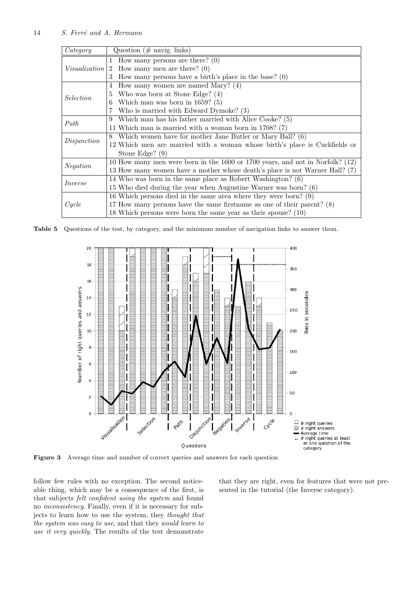| Category             | Question $(\# \text{ navig. links})$                                          |
|----------------------|-------------------------------------------------------------------------------|
|                      | 1 How many persons are there? $(0)$                                           |
| <i>Visualization</i> | How many men are there? $(0)$<br>$\overline{2}$                               |
|                      | How many persons have a birth's place in the base? $(0)$<br>3                 |
|                      | How many women are named Mary? $(4)$<br>4                                     |
| Selection            | Who was born at Stone Edge? (4)<br>5                                          |
|                      | Which man was born in $1659$ ? (5)<br>6                                       |
|                      | Who is married with Edward Dymoke? (3)                                        |
| Path                 | Which man has his father married with Alice Cooke? (5)<br>9                   |
|                      | 11 Which man is married with a woman born in $1708$ ? (7)                     |
| Disjunction          | Which women have for mother Jane Butler or Mary Ball? (6)<br>8                |
|                      | 12 Which men are married with a woman whose birth's place is Cuckfields or    |
|                      | Stone Edge? (9)                                                               |
|                      | 10 How many men were born in the 1600 or 1700 years, and not in Norfolk? (12) |
| <i>Negation</i>      | 13 How many women have a mother whose death's place is not Warner Hall? (7)   |
| <i>Inverse</i>       | 14 Who was born in the same place as Robert Washington? (6)                   |
|                      | 15 Who died during the year when Augustine Warner was born? (6)               |
|                      | 16 Which persons died in the same area where they were born? (9)              |
| Cycle                | 17 How many persons have the same firstname as one of their parent? (8)       |
|                      | 18 Which persons were born the same year as their spouse? (10)                |

Table 5 Questions of the test, by category, and the minimum number of navigation links to answer them.



Figure 3 Average time and number of correct queries and answers for each question

follow few rules with no exception. The second noticeable thing, which may be a consequence of the first, is that subjects felt confident using the system and found no inconsistency. Finally, even if it is necessary for subjects to learn how to use the system, they thought that the system was easy to use, and that they would learn to use it very quickly. The results of the test demonstrate

that they are right, even for features that were not presented in the tutorial (the Inverse category).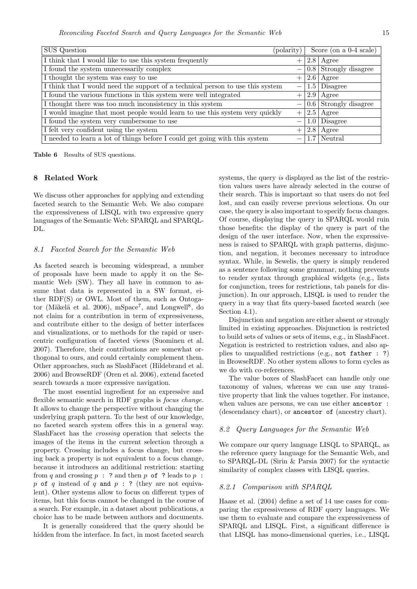| <b>SUS</b> Question                                                            | $\text{polarity}$ |                  | Score (on a 0-4 scale)          |
|--------------------------------------------------------------------------------|-------------------|------------------|---------------------------------|
| I think that I would like to use this system frequently                        |                   |                  | $2.8$   Agree                   |
| I found the system unnecessarily complex                                       |                   |                  | $\boxed{0.8}$ Strongly disagree |
| I thought the system was easy to use                                           |                   |                  | $2.6$ Agree                     |
| I think that I would need the support of a technical person to use this system |                   |                  | $\overline{1.5 \mid D}$ isagree |
| I found the various functions in this system were well integrated              |                   |                  | $2.9$   Agree                   |
| I thought there was too much inconsistency in this system                      |                   |                  | $0.6$ Strongly disagree         |
| I would imagine that most people would learn to use this system very quickly   |                   |                  | $2.5$ Agree                     |
| I found the system very cumbersome to use                                      |                   | 1.0 <sub>1</sub> | $\overline{\mathrm{D}}$ isagree |
| I felt very confident using the system                                         |                   | 2.8              | Agree                           |
| I needed to learn a lot of things before I could get going with this system    |                   |                  | $1.7$ Neutral                   |

Table 6 Results of SUS questions.

#### 8 Related Work

We discuss other approaches for applying and extending faceted search to the Semantic Web. We also compare the expressiveness of LISQL with two expressive query languages of the Semantic Web: SPARQL and SPARQL-DL.

#### 8.1 Faceted Search for the Semantic Web

As faceted search is becoming widespread, a number of proposals have been made to apply it on the Semantic Web (SW). They all have in common to assume that data is represented in a SW format, either RDF(S) or OWL. Most of them, such as Ontogator (Mäkelä et al. 2006), mSpace<sup>7</sup>, and Longwell<sup>8</sup>, do not claim for a contribution in term of expressiveness, and contribute either to the design of better interfaces and visualizations, or to methods for the rapid or usercentric configuration of faceted views (Suominen et al. 2007). Therefore, their contributions are somewhat orthogonal to ours, and could certainly complement them. Other approaches, such as SlashFacet (Hildebrand et al. 2006) and BrowseRDF (Oren et al. 2006), extend faceted search towards a more expressive navigation.

The most essential ingredient for an expressive and flexible semantic search in RDF graphs is focus change. It allows to change the perspective without changing the underlying graph pattern. To the best of our knowledge, no faceted search system offers this in a general way. SlashFacet has the crossing operation that selects the images of the items in the current selection through a property. Crossing includes a focus change, but crossing back a property is not equivalent to a focus change, because it introduces an additional restriction: starting from  $q$  and crossing  $p : ?$  and then  $p$  of ? leads to  $p : ?$ p of q instead of q and  $p : ?$  (they are not equivalent). Other systems allow to focus on different types of items, but this focus cannot be changed in the course of a search. For example, in a dataset about publications, a choice has to be made between authors and documents.

It is generally considered that the query should be hidden from the interface. In fact, in most faceted search systems, the query is displayed as the list of the restriction values users have already selected in the course of their search. This is important so that users do not feel lost, and can easily reverse previous selections. On our case, the query is also important to specify focus changes. Of course, displaying the query in SPARQL would ruin those benefits: the display of the query is part of the design of the user interface. Now, when the expressiveness is raised to SPARQL with graph patterns, disjunction, and negation, it becomes necessary to introduce syntax. While, in Sewelis, the query is simply rendered as a sentence following some grammar, nothing prevents to render syntax through graphical widgets (e.g., lists for conjunction, trees for restrictions, tab panels for disjunction). In our approach, LISQL is used to render the query in a way that fits query-based faceted search (see Section 4.1).

Disjunction and negation are either absent or strongly limited in existing approaches. Disjunction is restricted to build sets of values or sets of items, e.g., in SlashFacet. Negation is restricted to restriction values, and also applies to unqualified restrictions (e.g., not father : ?) in BrowseRDF. No other system allows to form cycles as we do with co-references.

The value boxes of SlashFacet can handle only one taxonomy of values, whereas we can use any transitive property that link the values together. For instance, when values are persons, we can use either ancestor : (descendancy chart), or ancestor of (ancestry chart).

#### 8.2 Query Languages for the Semantic Web

We compare our query language LISQL to SPARQL, as the reference query language for the Semantic Web, and to SPARQL-DL (Sirin & Parsia 2007) for the syntactic similarity of complex classes with LISQL queries.

#### 8.2.1 Comparison with SPARQL

Haase et al. (2004) define a set of 14 use cases for comparing the expressiveness of RDF query languages. We use them to evaluate and compare the expressiveness of SPARQL and LISQL. First, a significant difference is that LISQL has mono-dimensional queries, i.e., LISQL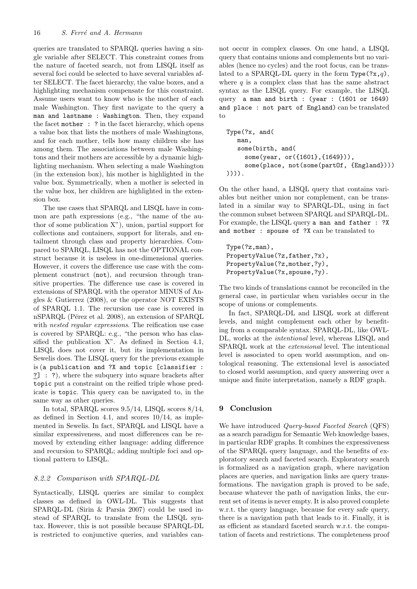queries are translated to SPARQL queries having a single variable after SELECT. This constraint comes from the nature of faceted search, not from LISQL itself as several foci could be selected to have several variables after SELECT. The facet hierarchy, the value boxes, and a highlighting mechanism compensate for this constraint. Assume users want to know who is the mother of each male Washington. They first navigate to the query a man and lastname : Washington. Then, they expand the facet mother : ? in the facet hierarchy, which opens a value box that lists the mothers of male Washingtons, and for each mother, tells how many children she has among them. The associations between male Washingtons and their mothers are accessible by a dynamic highlighting mechanism. When selecting a male Washington (in the extension box), his mother is highlighted in the value box. Symmetrically, when a mother is selected in the value box, her children are highlighted in the extension box.

The use cases that SPARQL and LISQL have in common are path expressions (e.g., "the name of the author of some publication X"), union, partial support for collections and containers, support for literals, and entailment through class and property hierarchies. Compared to SPARQL, LISQL has not the OPTIONAL construct because it is useless in one-dimensional queries. However, it covers the difference use case with the complement construct (not), and recursion through transitive properties. The difference use case is covered in extensions of SPARQL with the operator MINUS of Angles & Gutierrez (2008), or the operator NOT EXISTS of SPARQL 1.1. The recursion use case is covered in nSPARQL (Pérez et al. 2008), an extension of SPARQL with *nested regular expressions*. The reification use case is covered by SPARQL: e.g., "the person who has classified the publication X". As defined in Section 4.1, LISQL does not cover it, but its implementation in Sewelis does. The LISQL query for the previous example is (a publication and ?X and topic [classifier : ?] : ?), where the subquery into square brackets after topic put a constraint on the reified triple whose predicate is topic. This query can be navigated to, in the same way as other queries.

In total, SPARQL scores 9.5/14, LISQL scores 8/14, as defined in Section 4.1, and scores  $10/14$ , as implemented in Sewelis. In fact, SPARQL and LISQL have a similar expressiveness, and most differences can be removed by extending either language: adding difference and recursion to SPARQL; adding multiple foci and optional pattern to LISQL.

#### 8.2.2 Comparison with SPARQL-DL

Syntactically, LISQL queries are similar to complex classes as defined in OWL-DL. This suggests that SPARQL-DL (Sirin & Parsia 2007) could be used instead of SPARQL to translate from the LISQL syntax. However, this is not possible because SPARQL-DL is restricted to conjunctive queries, and variables cannot occur in complex classes. On one hand, a LISQL query that contains unions and complements but no variables (hence no cycles) and the root focus, can be translated to a SPARQL-DL query in the form Type(?x,q), where  $q$  is a complex class that has the same abstract syntax as the LISQL query. For example, the LISQL query a man and birth : (year : (1601 or 1649) and place : not part of England) can be translated to

```
Type(?x, and(
  man,
   some(birth, and(
     some(year, or({1601},{1649})),
     some(place, not(some(partOf, {England})))
)))).
```
On the other hand, a LISQL query that contains variables but neither union nor complement, can be translated in a similar way to SPARQL-DL, using in fact the common subset between SPARQL and SPARQL-DL. For example, the LISQL query a man and father : ?X and mother : spouse of ?X can be translated to

Type(?z,man), PropertyValue(?z,father,?x), PropertyValue(?z,mother,?y), PropertyValue(?x,spouse,?y).

The two kinds of translations cannot be reconciled in the general case, in particular when variables occur in the scope of unions or complements.

In fact, SPARQL-DL and LISQL work at different levels, and might complement each other by benefiting from a comparable syntax. SPARQL-DL, like OWL-DL, works at the intentional level, whereas LISQL and SPARQL work at the extensional level. The intentional level is associated to open world assumption, and ontological reasoning. The extensional level is associated to closed world assumption, and query answering over a unique and finite interpretation, namely a RDF graph.

#### **Conclusion**

We have introduced Query-based Faceted Search (QFS) as a search paradigm for Semantic Web knowledge bases, in particular RDF graphs. It combines the expressiveness of the SPARQL query language, and the benefits of exploratory search and faceted search. Exploratory search is formalized as a navigation graph, where navigation places are queries, and navigation links are query transformations. The navigation graph is proved to be safe, because whatever the path of navigation links, the current set of items is never empty. It is also proved complete w.r.t. the query language, because for every safe query, there is a navigation path that leads to it. Finally, it is as efficient as standard faceted search w.r.t. the computation of facets and restrictions. The completeness proof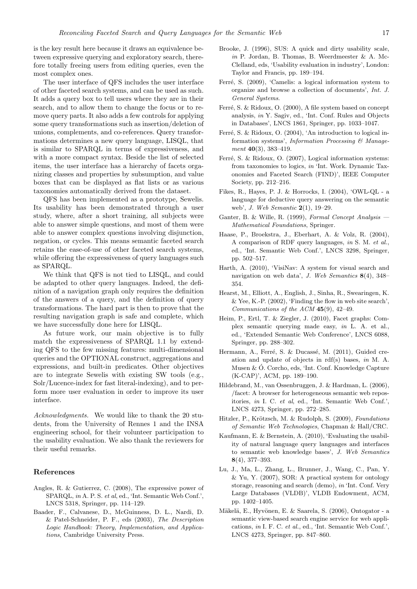is the key result here because it draws an equivalence between expressive querying and exploratory search, therefore totally freeing users from editing queries, even the most complex ones.

The user interface of QFS includes the user interface of other faceted search systems, and can be used as such. It adds a query box to tell users where they are in their search, and to allow them to change the focus or to remove query parts. It also adds a few controls for applying some query transformations such as insertion/deletion of unions, complements, and co-references. Query transformations determines a new query language, LISQL, that is similar to SPARQL in terms of expressiveness, and with a more compact syntax. Beside the list of selected items, the user interface has a hierarchy of facets organizing classes and properties by subsumption, and value boxes that can be displayed as flat lists or as various taxonomies automatically derived from the dataset.

QFS has been implemented as a prototype, Sewelis. Its usability has been demonstrated through a user study, where, after a short training, all subjects were able to answer simple questions, and most of them were able to answer complex questions involving disjunction, negation, or cycles. This means semantic faceted search retains the ease-of-use of other faceted search systems, while offering the expressiveness of query languages such as SPARQL.

We think that QFS is not tied to LISQL, and could be adapted to other query languages. Indeed, the definition of a navigation graph only requires the definition of the answers of a query, and the definition of query transformations. The hard part is then to prove that the resulting navigation graph is safe and complete, which we have successfully done here for LISQL.

As future work, our main objective is to fully match the expressiveness of SPARQL 1.1 by extending QFS to the few missing features: multi-dimensional queries and the OPTIONAL construct, aggregations and expressions, and built-in predicates. Other objectives are to integrate Sewelis with existing SW tools (e.g., Solr/Lucence-index for fast literal-indexing), and to perform more user evaluation in order to improve its user interface.

Acknowledgments. We would like to thank the 20 students, from the University of Rennes 1 and the INSA engineering school, for their volunteer participation to the usability evaluation. We also thank the reviewers for their useful remarks.

#### References

- Angles, R. & Gutierrez, C. (2008), The expressive power of SPARQL, *in* A. P. S. *et al*, ed., 'Int. Semantic Web Conf.', LNCS 5318, Springer, pp. 114–129.
- Baader, F., Calvanese, D., McGuinness, D. L., Nardi, D. & Patel-Schneider, P. F., eds (2003), *The Description Logic Handbook: Theory, Implementation, and Applications*, Cambridge University Press.
- Brooke, J. (1996), SUS: A quick and dirty usability scale, *in* P. Jordan, B. Thomas, B. Weerdmeester & A. Mc-Clelland, eds, 'Usability evaluation in industry', London: Taylor and Francis, pp. 189–194.
- Ferré, S. (2009), 'Camelis: a logical information system to organize and browse a collection of documents', *Int. J. General Systems*.
- Ferré, S. & Ridoux, O. (2000), A file system based on concept analysis, *in* Y. Sagiv, ed., 'Int. Conf. Rules and Objects in Databases', LNCS 1861, Springer, pp. 1033–1047.
- Ferré, S. & Ridoux, O. (2004), 'An introduction to logical information systems', *Information Processing & Management* 40(3), 383–419.
- Ferré, S. & Ridoux, O. (2007), Logical information systems: from taxonomies to logics, *in* 'Int. Work. Dynamic Taxonomies and Faceted Search (FIND)', IEEE Computer Society, pp. 212–216.
- Fikes, R., Hayes, P. J. & Horrocks, I. (2004), 'OWL-QL a language for deductive query answering on the semantic web', *J. Web Semantic* 2(1), 19–29.
- Ganter, B. & Wille, R. (1999), *Formal Concept Analysis — Mathematical Foundations*, Springer.
- Haase, P., Broekstra, J., Eberhart, A. & Volz, R. (2004), A comparison of RDF query languages, *in* S. M. *et al.*, ed., 'Int. Semantic Web Conf.', LNCS 3298, Springer, pp. 502–517.
- Harth, A. (2010), 'VisiNav: A system for visual search and navigation on web data', *J. Web Semantics* 8(4), 348– 354.
- Hearst, M., Elliott, A., English, J., Sinha, R., Swearingen, K. & Yee, K.-P. (2002), 'Finding the flow in web site search', *Communications of the ACM* 45(9), 42–49.
- Heim, P., Ertl, T. & Ziegler, J. (2010), Facet graphs: Complex semantic querying made easy, *in* L. A. et al., ed., 'Extended Semantic Web Conference', LNCS 6088, Springer, pp. 288–302.
- Hermann, A., Ferré, S. & Ducassé, M. (2011), Guided creation and update of objects in rdf(s) bases, *in* M. A. Musen & Ó. Corcho, eds, 'Int. Conf. Knowledge Capture (K-CAP)', ACM, pp. 189–190.
- Hildebrand, M., van Ossenbruggen, J. & Hardman, L. (2006), /facet: A browser for heterogeneous semantic web repositories, *in* I. C. *et al*, ed., 'Int. Semantic Web Conf.', LNCS 4273, Springer, pp. 272–285.
- Hitzler, P., Krötzsch, M. & Rudolph, S. (2009), *Foundations of Semantic Web Technologies*, Chapman & Hall/CRC.
- Kaufmann, E. & Bernstein, A. (2010), 'Evaluating the usability of natural language query languages and interfaces to semantic web knowledge bases', *J. Web Semantics* 8(4), 377–393.
- Lu, J., Ma, L., Zhang, L., Brunner, J., Wang, C., Pan, Y. & Yu, Y. (2007), SOR: A practical system for ontology storage, reasoning and search (demo), *in* 'Int. Conf. Very Large Databases (VLDB)', VLDB Endowment, ACM, pp. 1402–1405.
- Mäkelä, E., Hyvönen, E. & Saarela, S. (2006), Ontogator a semantic view-based search engine service for web applications, *in* I. F. C. *et al.*, ed., 'Int. Semantic Web Conf.', LNCS 4273, Springer, pp. 847–860.